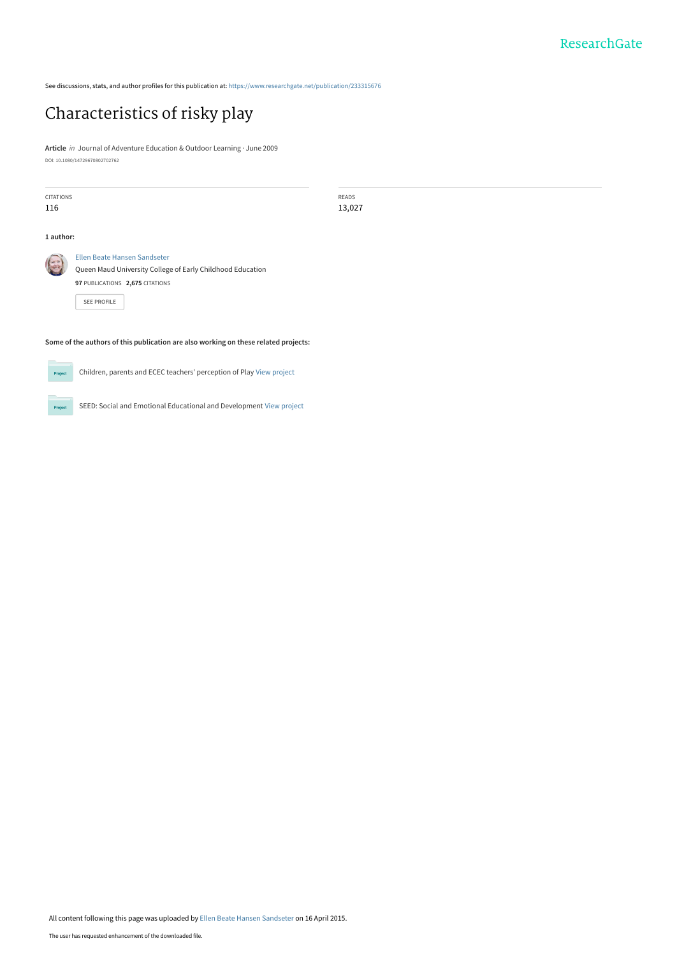See discussions, stats, and author profiles for this publication at: [https://www.researchgate.net/publication/233315676](https://www.researchgate.net/publication/233315676_Characteristics_of_risky_play?enrichId=rgreq-4533c49ba7ddd7160651f1320d3b78d3-XXX&enrichSource=Y292ZXJQYWdlOzIzMzMxNTY3NjtBUzoyMTg3NzI4OTI4NTIyMjVAMTQyOTE3MDkzMDIyMQ%3D%3D&el=1_x_2&_esc=publicationCoverPdf)

# [Characteristics of risky play](https://www.researchgate.net/publication/233315676_Characteristics_of_risky_play?enrichId=rgreq-4533c49ba7ddd7160651f1320d3b78d3-XXX&enrichSource=Y292ZXJQYWdlOzIzMzMxNTY3NjtBUzoyMTg3NzI4OTI4NTIyMjVAMTQyOTE3MDkzMDIyMQ%3D%3D&el=1_x_3&_esc=publicationCoverPdf)

**Article** in Journal of Adventure Education & Outdoor Learning · June 2009 DOI: 10.1080/14729670802702762

| CITATIONS<br>116                                                                    | READS                                                                                                                                        | 13,027 |  |  |
|-------------------------------------------------------------------------------------|----------------------------------------------------------------------------------------------------------------------------------------------|--------|--|--|
| 1 author:                                                                           |                                                                                                                                              |        |  |  |
| $\mathbb{E}$                                                                        | Ellen Beate Hansen Sandseter<br>Queen Maud University College of Early Childhood Education<br>97 PUBLICATIONS 2,675 CITATIONS<br>SEE PROFILE |        |  |  |
| Some of the authors of this publication are also working on these related projects: |                                                                                                                                              |        |  |  |



Children, parents and ECEC teachers' perception of Play [View project](https://www.researchgate.net/project/Children-parents-and-ECEC-teachers-perception-of-Play?enrichId=rgreq-4533c49ba7ddd7160651f1320d3b78d3-XXX&enrichSource=Y292ZXJQYWdlOzIzMzMxNTY3NjtBUzoyMTg3NzI4OTI4NTIyMjVAMTQyOTE3MDkzMDIyMQ%3D%3D&el=1_x_9&_esc=publicationCoverPdf)



SEED: Social and Emotional Educational and Development [View project](https://www.researchgate.net/project/SEED-Social-and-Emotional-Educational-and-Development?enrichId=rgreq-4533c49ba7ddd7160651f1320d3b78d3-XXX&enrichSource=Y292ZXJQYWdlOzIzMzMxNTY3NjtBUzoyMTg3NzI4OTI4NTIyMjVAMTQyOTE3MDkzMDIyMQ%3D%3D&el=1_x_9&_esc=publicationCoverPdf)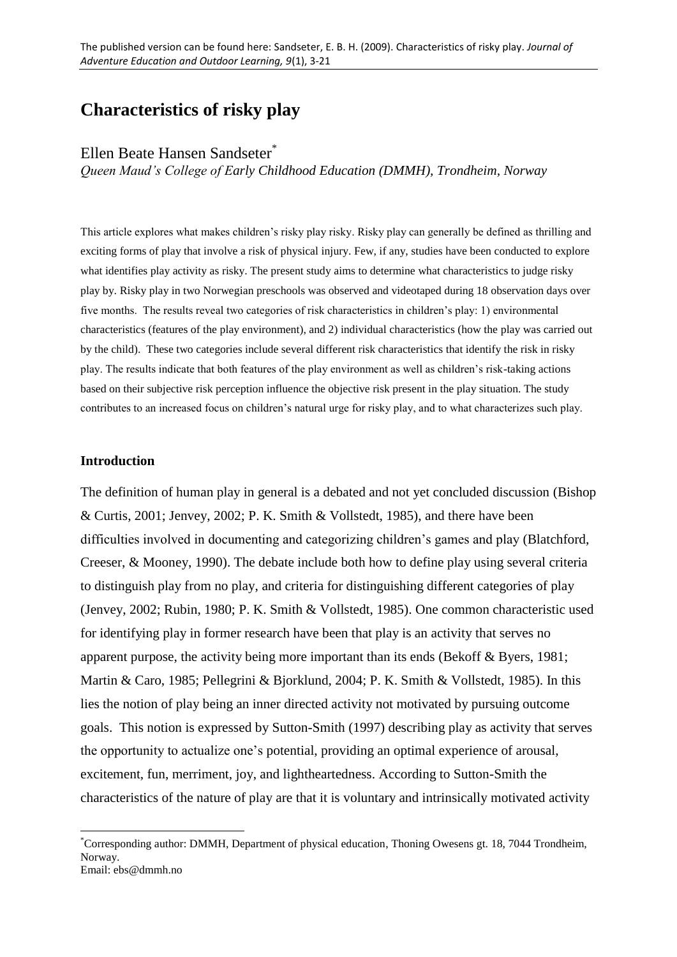## **Characteristics of risky play**

#### Ellen Beate Hansen Sandseter<sup>\*</sup>

*Queen Maud's College of Early Childhood Education (DMMH), Trondheim, Norway*

This article explores what makes children's risky play risky. Risky play can generally be defined as thrilling and exciting forms of play that involve a risk of physical injury. Few, if any, studies have been conducted to explore what identifies play activity as risky. The present study aims to determine what characteristics to judge risky play by. Risky play in two Norwegian preschools was observed and videotaped during 18 observation days over five months. The results reveal two categories of risk characteristics in children's play: 1) environmental characteristics (features of the play environment), and 2) individual characteristics (how the play was carried out by the child). These two categories include several different risk characteristics that identify the risk in risky play. The results indicate that both features of the play environment as well as children's risk-taking actions based on their subjective risk perception influence the objective risk present in the play situation. The study contributes to an increased focus on children's natural urge for risky play, and to what characterizes such play.

#### **Introduction**

1

The definition of human play in general is a debated and not yet concluded discussion (Bishop & Curtis, 2001; Jenvey, 2002; P. K. Smith & Vollstedt, 1985), and there have been difficulties involved in documenting and categorizing children's games and play (Blatchford, Creeser, & Mooney, 1990). The debate include both how to define play using several criteria to distinguish play from no play, and criteria for distinguishing different categories of play (Jenvey, 2002; Rubin, 1980; P. K. Smith & Vollstedt, 1985). One common characteristic used for identifying play in former research have been that play is an activity that serves no apparent purpose, the activity being more important than its ends (Bekoff & Byers, 1981; Martin & Caro, 1985; Pellegrini & Bjorklund, 2004; P. K. Smith & Vollstedt, 1985). In this lies the notion of play being an inner directed activity not motivated by pursuing outcome goals. This notion is expressed by Sutton-Smith (1997) describing play as activity that serves the opportunity to actualize one's potential, providing an optimal experience of arousal, excitement, fun, merriment, joy, and lightheartedness. According to Sutton-Smith the characteristics of the nature of play are that it is voluntary and intrinsically motivated activity

<sup>\*</sup>Corresponding author: DMMH, Department of physical education, Thoning Owesens gt. 18, 7044 Trondheim, Norway. Email: ebs@dmmh.no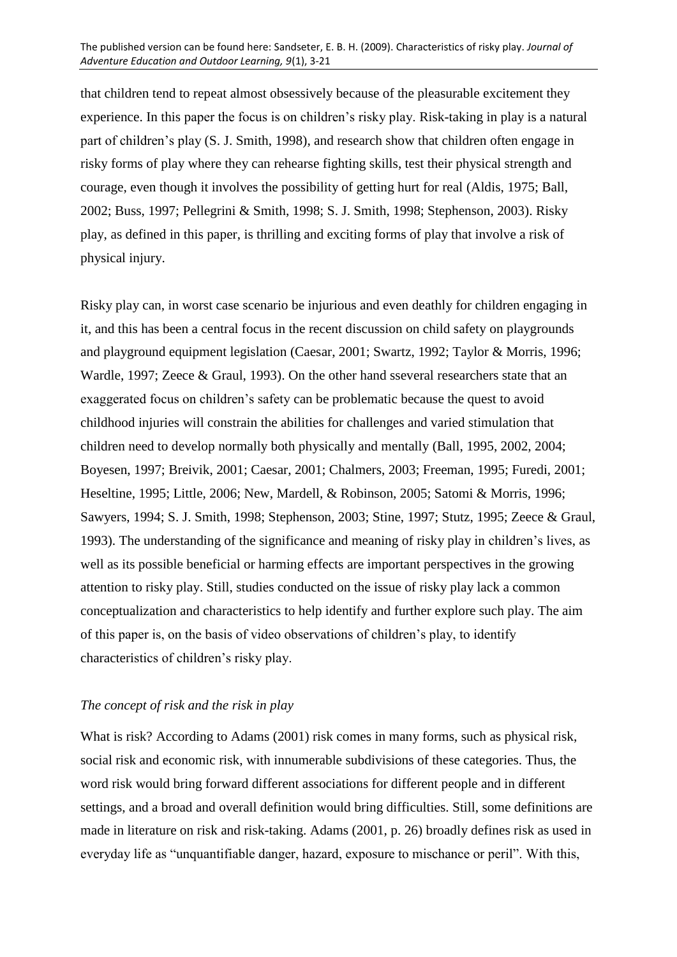that children tend to repeat almost obsessively because of the pleasurable excitement they experience. In this paper the focus is on children's risky play. Risk-taking in play is a natural part of children's play (S. J. Smith, 1998), and research show that children often engage in risky forms of play where they can rehearse fighting skills, test their physical strength and courage, even though it involves the possibility of getting hurt for real (Aldis, 1975; Ball, 2002; Buss, 1997; Pellegrini & Smith, 1998; S. J. Smith, 1998; Stephenson, 2003). Risky play, as defined in this paper, is thrilling and exciting forms of play that involve a risk of physical injury.

Risky play can, in worst case scenario be injurious and even deathly for children engaging in it, and this has been a central focus in the recent discussion on child safety on playgrounds and playground equipment legislation (Caesar, 2001; Swartz, 1992; Taylor & Morris, 1996; Wardle, 1997; Zeece & Graul, 1993). On the other hand sseveral researchers state that an exaggerated focus on children's safety can be problematic because the quest to avoid childhood injuries will constrain the abilities for challenges and varied stimulation that children need to develop normally both physically and mentally (Ball, 1995, 2002, 2004; Boyesen, 1997; Breivik, 2001; Caesar, 2001; Chalmers, 2003; Freeman, 1995; Furedi, 2001; Heseltine, 1995; Little, 2006; New, Mardell, & Robinson, 2005; Satomi & Morris, 1996; Sawyers, 1994; S. J. Smith, 1998; Stephenson, 2003; Stine, 1997; Stutz, 1995; Zeece & Graul, 1993). The understanding of the significance and meaning of risky play in children's lives, as well as its possible beneficial or harming effects are important perspectives in the growing attention to risky play. Still, studies conducted on the issue of risky play lack a common conceptualization and characteristics to help identify and further explore such play. The aim of this paper is, on the basis of video observations of children's play, to identify characteristics of children's risky play.

#### *The concept of risk and the risk in play*

What is risk? According to Adams (2001) risk comes in many forms, such as physical risk, social risk and economic risk, with innumerable subdivisions of these categories. Thus, the word risk would bring forward different associations for different people and in different settings, and a broad and overall definition would bring difficulties. Still, some definitions are made in literature on risk and risk-taking. Adams (2001, p. 26) broadly defines risk as used in everyday life as "unquantifiable danger, hazard, exposure to mischance or peril". With this,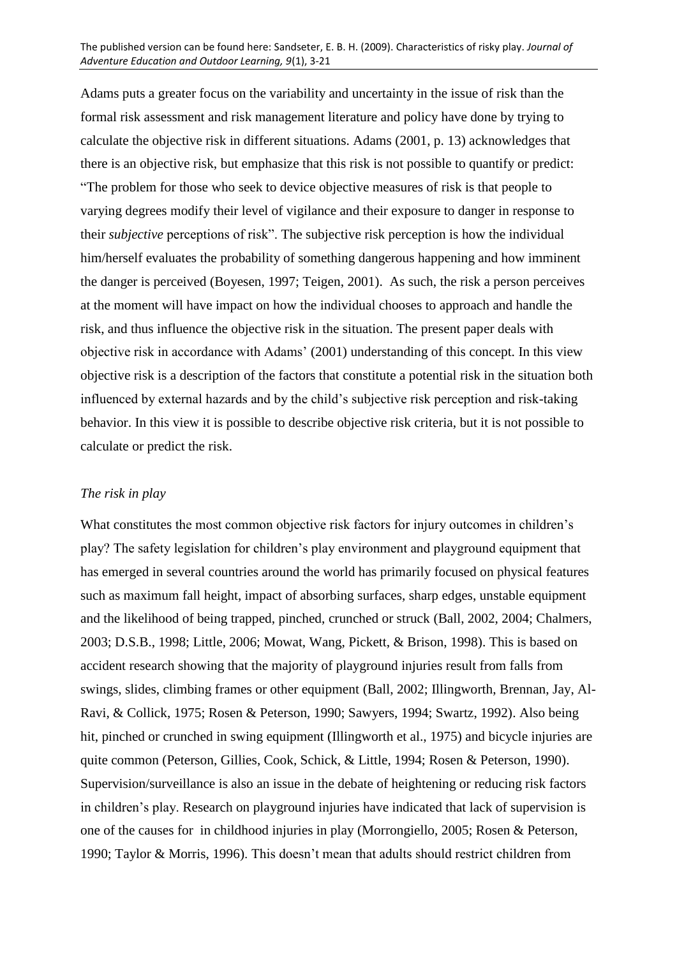Adams puts a greater focus on the variability and uncertainty in the issue of risk than the formal risk assessment and risk management literature and policy have done by trying to calculate the objective risk in different situations. Adams (2001, p. 13) acknowledges that there is an objective risk, but emphasize that this risk is not possible to quantify or predict: "The problem for those who seek to device objective measures of risk is that people to varying degrees modify their level of vigilance and their exposure to danger in response to their *subjective* perceptions of risk". The subjective risk perception is how the individual him/herself evaluates the probability of something dangerous happening and how imminent the danger is perceived (Boyesen, 1997; Teigen, 2001). As such, the risk a person perceives at the moment will have impact on how the individual chooses to approach and handle the risk, and thus influence the objective risk in the situation. The present paper deals with objective risk in accordance with Adams' (2001) understanding of this concept. In this view objective risk is a description of the factors that constitute a potential risk in the situation both influenced by external hazards and by the child's subjective risk perception and risk-taking behavior. In this view it is possible to describe objective risk criteria, but it is not possible to calculate or predict the risk.

#### *The risk in play*

What constitutes the most common objective risk factors for injury outcomes in children's play? The safety legislation for children's play environment and playground equipment that has emerged in several countries around the world has primarily focused on physical features such as maximum fall height, impact of absorbing surfaces, sharp edges, unstable equipment and the likelihood of being trapped, pinched, crunched or struck (Ball, 2002, 2004; Chalmers, 2003; D.S.B., 1998; Little, 2006; Mowat, Wang, Pickett, & Brison, 1998). This is based on accident research showing that the majority of playground injuries result from falls from swings, slides, climbing frames or other equipment (Ball, 2002; Illingworth, Brennan, Jay, Al-Ravi, & Collick, 1975; Rosen & Peterson, 1990; Sawyers, 1994; Swartz, 1992). Also being hit, pinched or crunched in swing equipment (Illingworth et al., 1975) and bicycle injuries are quite common (Peterson, Gillies, Cook, Schick, & Little, 1994; Rosen & Peterson, 1990). Supervision/surveillance is also an issue in the debate of heightening or reducing risk factors in children's play. Research on playground injuries have indicated that lack of supervision is one of the causes for in childhood injuries in play (Morrongiello, 2005; Rosen & Peterson, 1990; Taylor & Morris, 1996). This doesn't mean that adults should restrict children from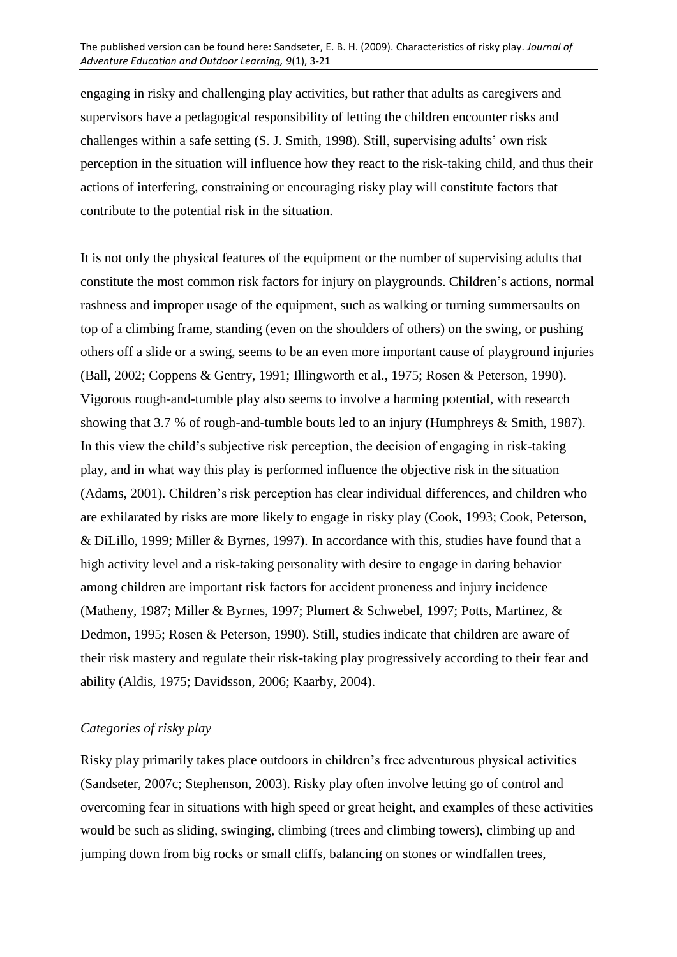engaging in risky and challenging play activities, but rather that adults as caregivers and supervisors have a pedagogical responsibility of letting the children encounter risks and challenges within a safe setting (S. J. Smith, 1998). Still, supervising adults' own risk perception in the situation will influence how they react to the risk-taking child, and thus their actions of interfering, constraining or encouraging risky play will constitute factors that contribute to the potential risk in the situation.

It is not only the physical features of the equipment or the number of supervising adults that constitute the most common risk factors for injury on playgrounds. Children's actions, normal rashness and improper usage of the equipment, such as walking or turning summersaults on top of a climbing frame, standing (even on the shoulders of others) on the swing, or pushing others off a slide or a swing, seems to be an even more important cause of playground injuries (Ball, 2002; Coppens & Gentry, 1991; Illingworth et al., 1975; Rosen & Peterson, 1990). Vigorous rough-and-tumble play also seems to involve a harming potential, with research showing that 3.7 % of rough-and-tumble bouts led to an injury (Humphreys & Smith, 1987). In this view the child's subjective risk perception, the decision of engaging in risk-taking play, and in what way this play is performed influence the objective risk in the situation (Adams, 2001). Children's risk perception has clear individual differences, and children who are exhilarated by risks are more likely to engage in risky play (Cook, 1993; Cook, Peterson, & DiLillo, 1999; Miller & Byrnes, 1997). In accordance with this, studies have found that a high activity level and a risk-taking personality with desire to engage in daring behavior among children are important risk factors for accident proneness and injury incidence (Matheny, 1987; Miller & Byrnes, 1997; Plumert & Schwebel, 1997; Potts, Martinez, & Dedmon, 1995; Rosen & Peterson, 1990). Still, studies indicate that children are aware of their risk mastery and regulate their risk-taking play progressively according to their fear and ability (Aldis, 1975; Davidsson, 2006; Kaarby, 2004).

## *Categories of risky play*

Risky play primarily takes place outdoors in children's free adventurous physical activities (Sandseter, 2007c; Stephenson, 2003). Risky play often involve letting go of control and overcoming fear in situations with high speed or great height, and examples of these activities would be such as sliding, swinging, climbing (trees and climbing towers), climbing up and jumping down from big rocks or small cliffs, balancing on stones or windfallen trees,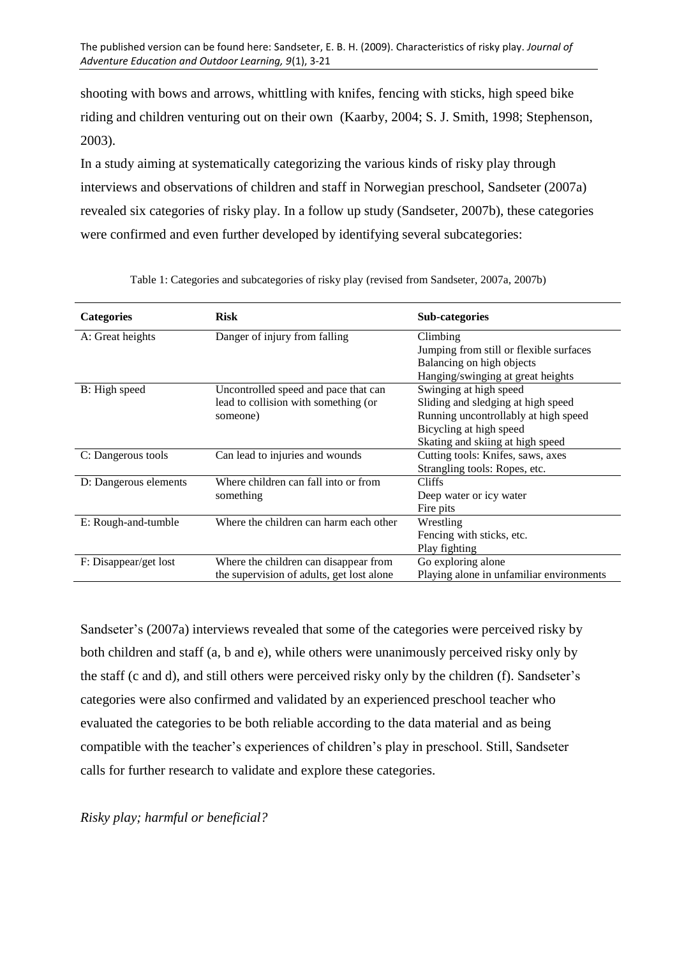shooting with bows and arrows, whittling with knifes, fencing with sticks, high speed bike riding and children venturing out on their own (Kaarby, 2004; S. J. Smith, 1998; Stephenson, 2003).

In a study aiming at systematically categorizing the various kinds of risky play through interviews and observations of children and staff in Norwegian preschool, Sandseter (2007a) revealed six categories of risky play. In a follow up study (Sandseter, 2007b), these categories were confirmed and even further developed by identifying several subcategories:

| <b>Categories</b>     | <b>Risk</b>                               | <b>Sub-categories</b>                    |
|-----------------------|-------------------------------------------|------------------------------------------|
| A: Great heights      | Danger of injury from falling             | Climbing                                 |
|                       |                                           | Jumping from still or flexible surfaces  |
|                       |                                           | Balancing on high objects                |
|                       |                                           | Hanging/swinging at great heights        |
| B: High speed         | Uncontrolled speed and pace that can      | Swinging at high speed                   |
|                       | lead to collision with something (or      | Sliding and sledging at high speed       |
|                       | someone)                                  | Running uncontrollably at high speed     |
|                       |                                           | Bicycling at high speed                  |
|                       |                                           | Skating and skiing at high speed         |
| C: Dangerous tools    | Can lead to injuries and wounds           | Cutting tools: Knifes, saws, axes        |
|                       |                                           | Strangling tools: Ropes, etc.            |
| D: Dangerous elements | Where children can fall into or from      | <b>Cliffs</b>                            |
|                       | something                                 | Deep water or icy water                  |
|                       |                                           | Fire pits                                |
| E: Rough-and-tumble   | Where the children can harm each other    | Wrestling                                |
|                       |                                           | Fencing with sticks, etc.                |
|                       |                                           | Play fighting                            |
| F: Disappear/get lost | Where the children can disappear from     | Go exploring alone                       |
|                       | the supervision of adults, get lost alone | Playing alone in unfamiliar environments |

Table 1: Categories and subcategories of risky play (revised from Sandseter, 2007a, 2007b)

Sandseter's (2007a) interviews revealed that some of the categories were perceived risky by both children and staff (a, b and e), while others were unanimously perceived risky only by the staff (c and d), and still others were perceived risky only by the children (f). Sandseter's categories were also confirmed and validated by an experienced preschool teacher who evaluated the categories to be both reliable according to the data material and as being compatible with the teacher's experiences of children's play in preschool. Still, Sandseter calls for further research to validate and explore these categories.

*Risky play; harmful or beneficial?*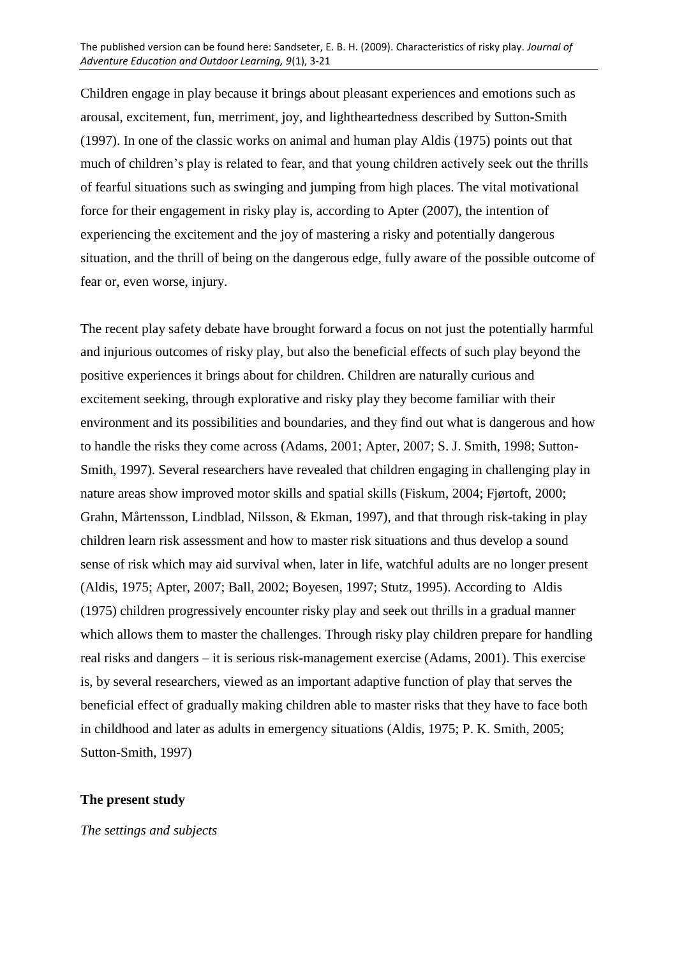Children engage in play because it brings about pleasant experiences and emotions such as arousal, excitement, fun, merriment, joy, and lightheartedness described by Sutton-Smith (1997). In one of the classic works on animal and human play Aldis (1975) points out that much of children's play is related to fear, and that young children actively seek out the thrills of fearful situations such as swinging and jumping from high places. The vital motivational force for their engagement in risky play is, according to Apter (2007), the intention of experiencing the excitement and the joy of mastering a risky and potentially dangerous situation, and the thrill of being on the dangerous edge, fully aware of the possible outcome of fear or, even worse, injury.

The recent play safety debate have brought forward a focus on not just the potentially harmful and injurious outcomes of risky play, but also the beneficial effects of such play beyond the positive experiences it brings about for children. Children are naturally curious and excitement seeking, through explorative and risky play they become familiar with their environment and its possibilities and boundaries, and they find out what is dangerous and how to handle the risks they come across (Adams, 2001; Apter, 2007; S. J. Smith, 1998; Sutton-Smith, 1997). Several researchers have revealed that children engaging in challenging play in nature areas show improved motor skills and spatial skills (Fiskum, 2004; Fjørtoft, 2000; Grahn, Mårtensson, Lindblad, Nilsson, & Ekman, 1997), and that through risk-taking in play children learn risk assessment and how to master risk situations and thus develop a sound sense of risk which may aid survival when, later in life, watchful adults are no longer present (Aldis, 1975; Apter, 2007; Ball, 2002; Boyesen, 1997; Stutz, 1995). According to Aldis (1975) children progressively encounter risky play and seek out thrills in a gradual manner which allows them to master the challenges. Through risky play children prepare for handling real risks and dangers – it is serious risk-management exercise (Adams, 2001). This exercise is, by several researchers, viewed as an important adaptive function of play that serves the beneficial effect of gradually making children able to master risks that they have to face both in childhood and later as adults in emergency situations (Aldis, 1975; P. K. Smith, 2005; Sutton-Smith, 1997)

#### **The present study**

*The settings and subjects*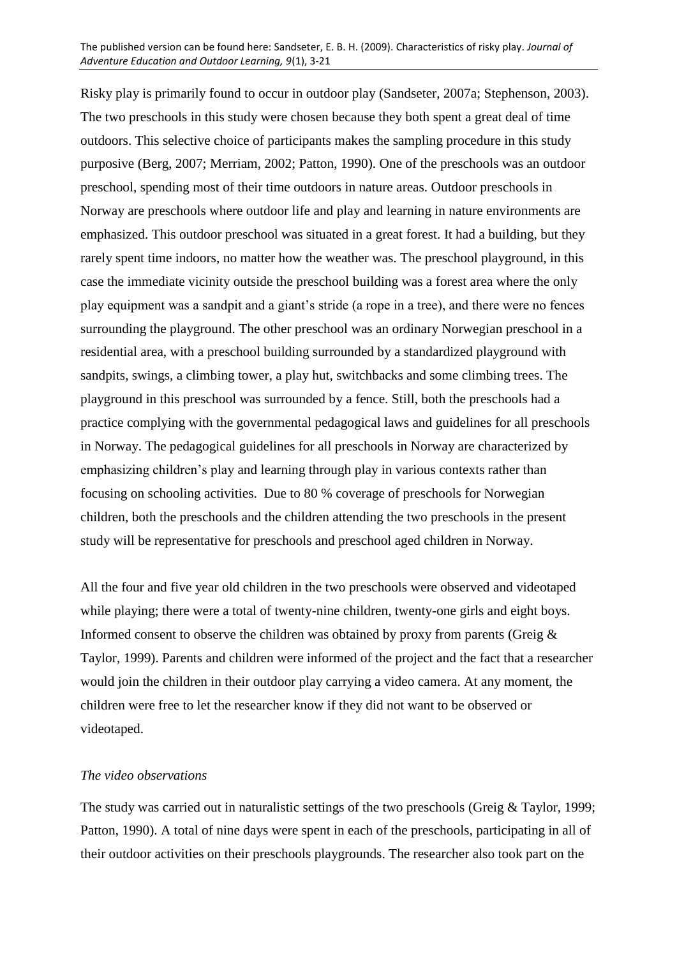Risky play is primarily found to occur in outdoor play (Sandseter, 2007a; Stephenson, 2003). The two preschools in this study were chosen because they both spent a great deal of time outdoors. This selective choice of participants makes the sampling procedure in this study purposive (Berg, 2007; Merriam, 2002; Patton, 1990). One of the preschools was an outdoor preschool, spending most of their time outdoors in nature areas. Outdoor preschools in Norway are preschools where outdoor life and play and learning in nature environments are emphasized. This outdoor preschool was situated in a great forest. It had a building, but they rarely spent time indoors, no matter how the weather was. The preschool playground, in this case the immediate vicinity outside the preschool building was a forest area where the only play equipment was a sandpit and a giant's stride (a rope in a tree), and there were no fences surrounding the playground. The other preschool was an ordinary Norwegian preschool in a residential area, with a preschool building surrounded by a standardized playground with sandpits, swings, a climbing tower, a play hut, switchbacks and some climbing trees. The playground in this preschool was surrounded by a fence. Still, both the preschools had a practice complying with the governmental pedagogical laws and guidelines for all preschools in Norway. The pedagogical guidelines for all preschools in Norway are characterized by emphasizing children's play and learning through play in various contexts rather than focusing on schooling activities. Due to 80 % coverage of preschools for Norwegian children, both the preschools and the children attending the two preschools in the present study will be representative for preschools and preschool aged children in Norway.

All the four and five year old children in the two preschools were observed and videotaped while playing; there were a total of twenty-nine children, twenty-one girls and eight boys. Informed consent to observe the children was obtained by proxy from parents (Greig  $\&$ Taylor, 1999). Parents and children were informed of the project and the fact that a researcher would join the children in their outdoor play carrying a video camera. At any moment, the children were free to let the researcher know if they did not want to be observed or videotaped.

#### *The video observations*

The study was carried out in naturalistic settings of the two preschools (Greig & Taylor, 1999; Patton, 1990). A total of nine days were spent in each of the preschools, participating in all of their outdoor activities on their preschools playgrounds. The researcher also took part on the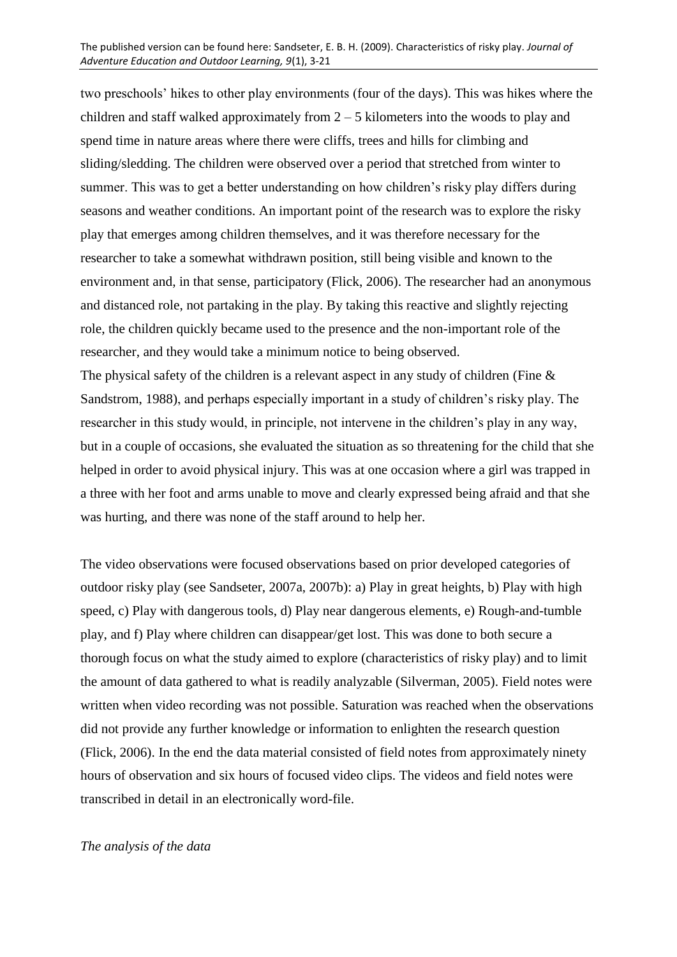two preschools' hikes to other play environments (four of the days). This was hikes where the children and staff walked approximately from  $2 - 5$  kilometers into the woods to play and spend time in nature areas where there were cliffs, trees and hills for climbing and sliding/sledding. The children were observed over a period that stretched from winter to summer. This was to get a better understanding on how children's risky play differs during seasons and weather conditions. An important point of the research was to explore the risky play that emerges among children themselves, and it was therefore necessary for the researcher to take a somewhat withdrawn position, still being visible and known to the environment and, in that sense, participatory (Flick, 2006). The researcher had an anonymous and distanced role, not partaking in the play. By taking this reactive and slightly rejecting role, the children quickly became used to the presence and the non-important role of the researcher, and they would take a minimum notice to being observed. The physical safety of the children is a relevant aspect in any study of children (Fine  $\&$ 

Sandstrom, 1988), and perhaps especially important in a study of children's risky play. The researcher in this study would, in principle, not intervene in the children's play in any way, but in a couple of occasions, she evaluated the situation as so threatening for the child that she helped in order to avoid physical injury. This was at one occasion where a girl was trapped in a three with her foot and arms unable to move and clearly expressed being afraid and that she was hurting, and there was none of the staff around to help her.

The video observations were focused observations based on prior developed categories of outdoor risky play (see Sandseter, 2007a, 2007b): a) Play in great heights, b) Play with high speed, c) Play with dangerous tools, d) Play near dangerous elements, e) Rough-and-tumble play, and f) Play where children can disappear/get lost. This was done to both secure a thorough focus on what the study aimed to explore (characteristics of risky play) and to limit the amount of data gathered to what is readily analyzable (Silverman, 2005). Field notes were written when video recording was not possible. Saturation was reached when the observations did not provide any further knowledge or information to enlighten the research question (Flick, 2006). In the end the data material consisted of field notes from approximately ninety hours of observation and six hours of focused video clips. The videos and field notes were transcribed in detail in an electronically word-file.

#### *The analysis of the data*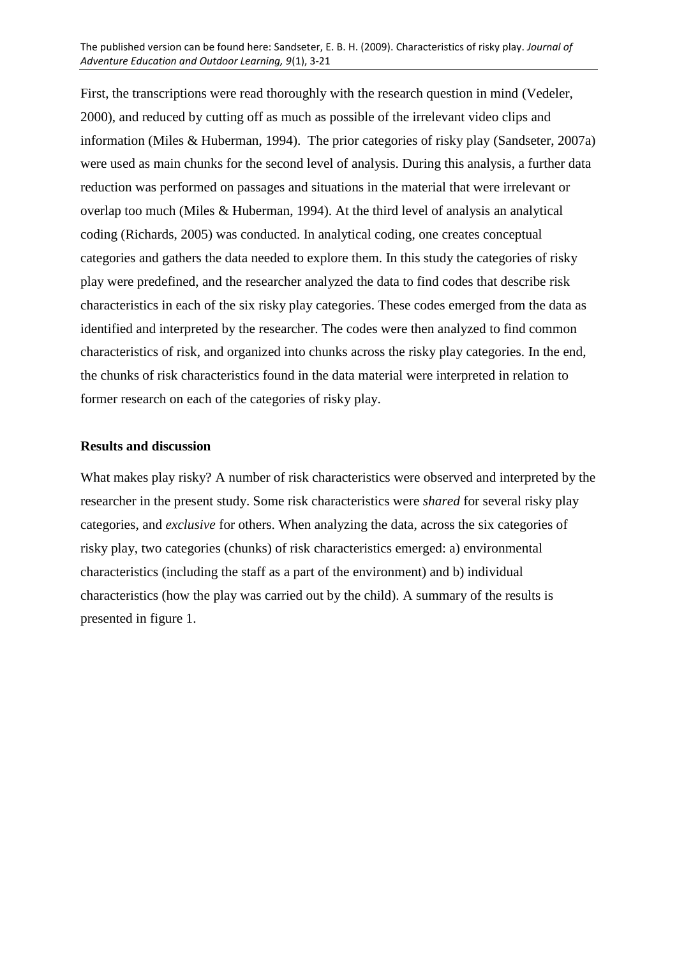First, the transcriptions were read thoroughly with the research question in mind (Vedeler, 2000), and reduced by cutting off as much as possible of the irrelevant video clips and information (Miles & Huberman, 1994). The prior categories of risky play (Sandseter, 2007a) were used as main chunks for the second level of analysis. During this analysis, a further data reduction was performed on passages and situations in the material that were irrelevant or overlap too much (Miles & Huberman, 1994). At the third level of analysis an analytical coding (Richards, 2005) was conducted. In analytical coding, one creates conceptual categories and gathers the data needed to explore them. In this study the categories of risky play were predefined, and the researcher analyzed the data to find codes that describe risk characteristics in each of the six risky play categories. These codes emerged from the data as identified and interpreted by the researcher. The codes were then analyzed to find common characteristics of risk, and organized into chunks across the risky play categories. In the end, the chunks of risk characteristics found in the data material were interpreted in relation to former research on each of the categories of risky play.

#### **Results and discussion**

What makes play risky? A number of risk characteristics were observed and interpreted by the researcher in the present study. Some risk characteristics were *shared* for several risky play categories, and *exclusive* for others. When analyzing the data, across the six categories of risky play, two categories (chunks) of risk characteristics emerged: a) environmental characteristics (including the staff as a part of the environment) and b) individual characteristics (how the play was carried out by the child). A summary of the results is presented in figure 1.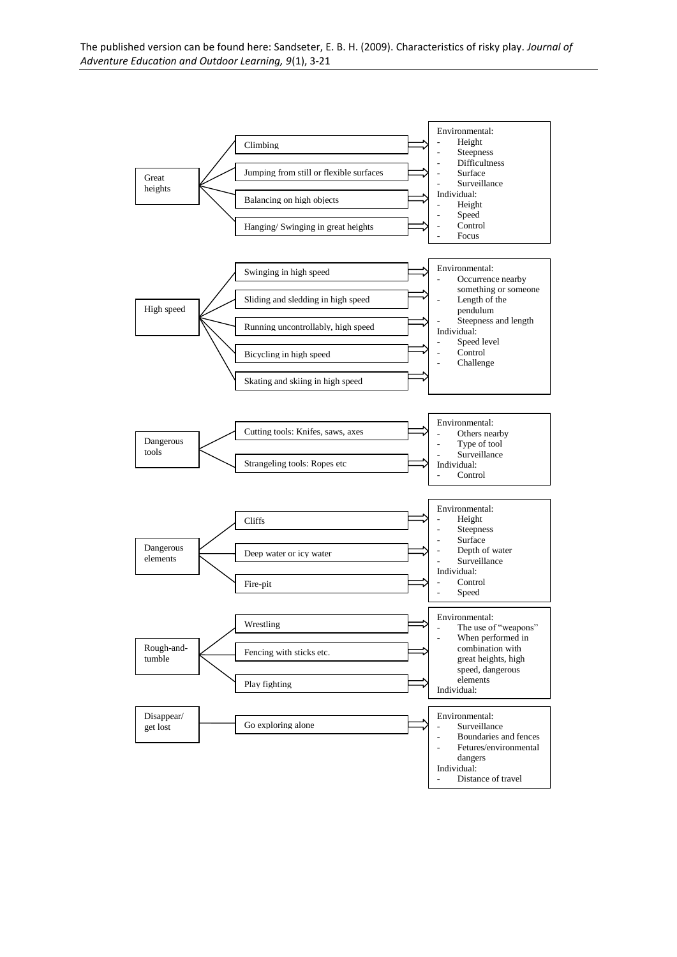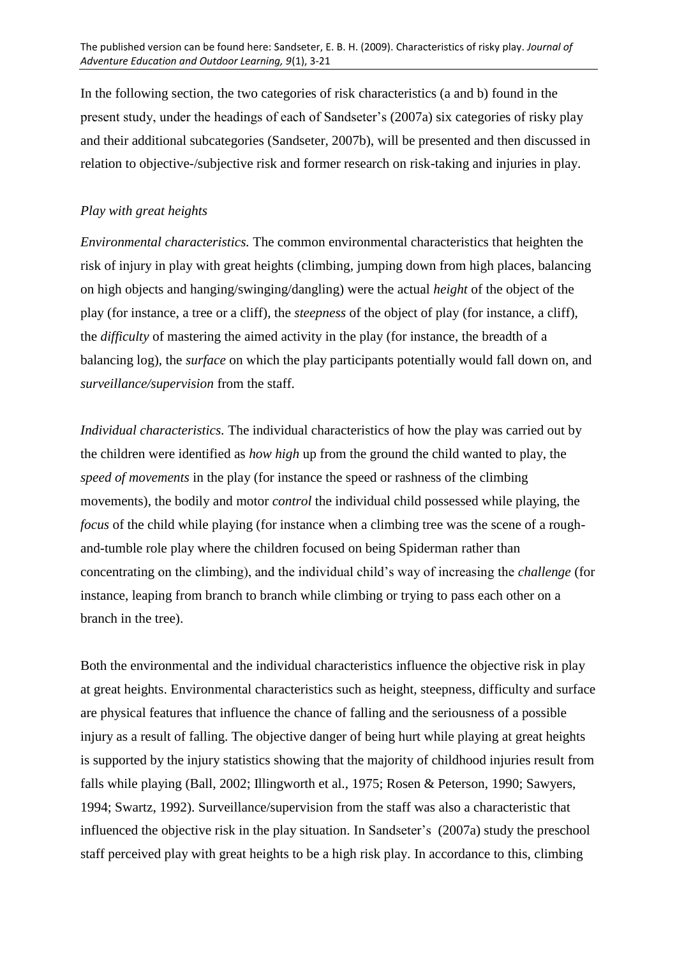In the following section, the two categories of risk characteristics (a and b) found in the present study, under the headings of each of Sandseter's (2007a) six categories of risky play and their additional subcategories (Sandseter, 2007b), will be presented and then discussed in relation to objective-/subjective risk and former research on risk-taking and injuries in play.

## *Play with great heights*

*Environmental characteristics.* The common environmental characteristics that heighten the risk of injury in play with great heights (climbing, jumping down from high places, balancing on high objects and hanging/swinging/dangling) were the actual *height* of the object of the play (for instance, a tree or a cliff), the *steepness* of the object of play (for instance, a cliff), the *difficulty* of mastering the aimed activity in the play (for instance, the breadth of a balancing log), the *surface* on which the play participants potentially would fall down on, and *surveillance/supervision* from the staff.

*Individual characteristics.* The individual characteristics of how the play was carried out by the children were identified as *how high* up from the ground the child wanted to play, the *speed of movements* in the play (for instance the speed or rashness of the climbing movements), the bodily and motor *control* the individual child possessed while playing, the *focus* of the child while playing (for instance when a climbing tree was the scene of a roughand-tumble role play where the children focused on being Spiderman rather than concentrating on the climbing), and the individual child's way of increasing the *challenge* (for instance, leaping from branch to branch while climbing or trying to pass each other on a branch in the tree).

Both the environmental and the individual characteristics influence the objective risk in play at great heights. Environmental characteristics such as height, steepness, difficulty and surface are physical features that influence the chance of falling and the seriousness of a possible injury as a result of falling. The objective danger of being hurt while playing at great heights is supported by the injury statistics showing that the majority of childhood injuries result from falls while playing (Ball, 2002; Illingworth et al., 1975; Rosen & Peterson, 1990; Sawyers, 1994; Swartz, 1992). Surveillance/supervision from the staff was also a characteristic that influenced the objective risk in the play situation. In Sandseter's (2007a) study the preschool staff perceived play with great heights to be a high risk play. In accordance to this, climbing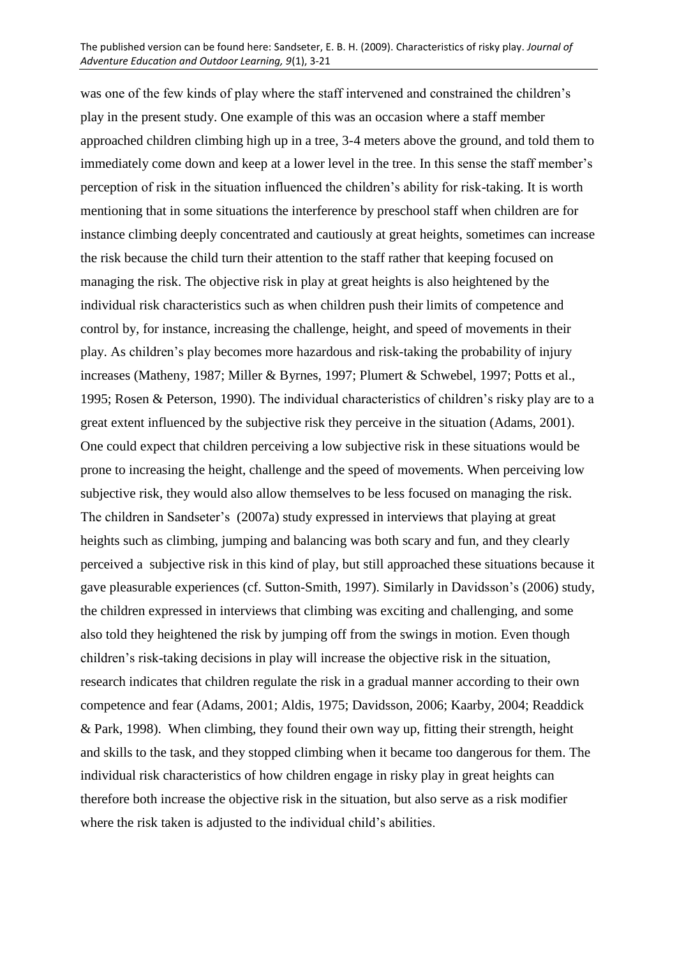was one of the few kinds of play where the staff intervened and constrained the children's play in the present study. One example of this was an occasion where a staff member approached children climbing high up in a tree, 3-4 meters above the ground, and told them to immediately come down and keep at a lower level in the tree. In this sense the staff member's perception of risk in the situation influenced the children's ability for risk-taking. It is worth mentioning that in some situations the interference by preschool staff when children are for instance climbing deeply concentrated and cautiously at great heights, sometimes can increase the risk because the child turn their attention to the staff rather that keeping focused on managing the risk. The objective risk in play at great heights is also heightened by the individual risk characteristics such as when children push their limits of competence and control by, for instance, increasing the challenge, height, and speed of movements in their play. As children's play becomes more hazardous and risk-taking the probability of injury increases (Matheny, 1987; Miller & Byrnes, 1997; Plumert & Schwebel, 1997; Potts et al., 1995; Rosen & Peterson, 1990). The individual characteristics of children's risky play are to a great extent influenced by the subjective risk they perceive in the situation (Adams, 2001). One could expect that children perceiving a low subjective risk in these situations would be prone to increasing the height, challenge and the speed of movements. When perceiving low subjective risk, they would also allow themselves to be less focused on managing the risk. The children in Sandseter's (2007a) study expressed in interviews that playing at great heights such as climbing, jumping and balancing was both scary and fun, and they clearly perceived a subjective risk in this kind of play, but still approached these situations because it gave pleasurable experiences (cf. Sutton-Smith, 1997). Similarly in Davidsson's (2006) study, the children expressed in interviews that climbing was exciting and challenging, and some also told they heightened the risk by jumping off from the swings in motion. Even though children's risk-taking decisions in play will increase the objective risk in the situation, research indicates that children regulate the risk in a gradual manner according to their own competence and fear (Adams, 2001; Aldis, 1975; Davidsson, 2006; Kaarby, 2004; Readdick & Park, 1998). When climbing, they found their own way up, fitting their strength, height and skills to the task, and they stopped climbing when it became too dangerous for them. The individual risk characteristics of how children engage in risky play in great heights can therefore both increase the objective risk in the situation, but also serve as a risk modifier where the risk taken is adjusted to the individual child's abilities.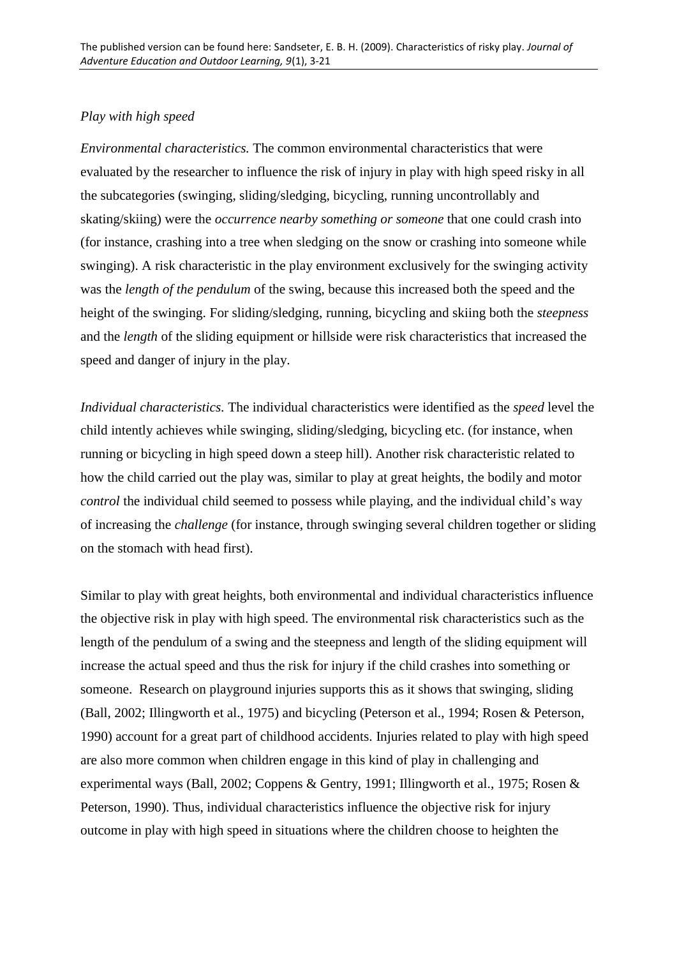## *Play with high speed*

*Environmental characteristics.* The common environmental characteristics that were evaluated by the researcher to influence the risk of injury in play with high speed risky in all the subcategories (swinging, sliding/sledging, bicycling, running uncontrollably and skating/skiing) were the *occurrence nearby something or someone* that one could crash into (for instance, crashing into a tree when sledging on the snow or crashing into someone while swinging). A risk characteristic in the play environment exclusively for the swinging activity was the *length of the pendulum* of the swing, because this increased both the speed and the height of the swinging. For sliding/sledging, running, bicycling and skiing both the *steepness* and the *length* of the sliding equipment or hillside were risk characteristics that increased the speed and danger of injury in the play.

*Individual characteristics.* The individual characteristics were identified as the *speed* level the child intently achieves while swinging, sliding/sledging, bicycling etc. (for instance, when running or bicycling in high speed down a steep hill). Another risk characteristic related to how the child carried out the play was, similar to play at great heights, the bodily and motor *control* the individual child seemed to possess while playing, and the individual child's way of increasing the *challenge* (for instance, through swinging several children together or sliding on the stomach with head first).

Similar to play with great heights, both environmental and individual characteristics influence the objective risk in play with high speed. The environmental risk characteristics such as the length of the pendulum of a swing and the steepness and length of the sliding equipment will increase the actual speed and thus the risk for injury if the child crashes into something or someone. Research on playground injuries supports this as it shows that swinging, sliding (Ball, 2002; Illingworth et al., 1975) and bicycling (Peterson et al., 1994; Rosen & Peterson, 1990) account for a great part of childhood accidents. Injuries related to play with high speed are also more common when children engage in this kind of play in challenging and experimental ways (Ball, 2002; Coppens & Gentry, 1991; Illingworth et al., 1975; Rosen & Peterson, 1990). Thus, individual characteristics influence the objective risk for injury outcome in play with high speed in situations where the children choose to heighten the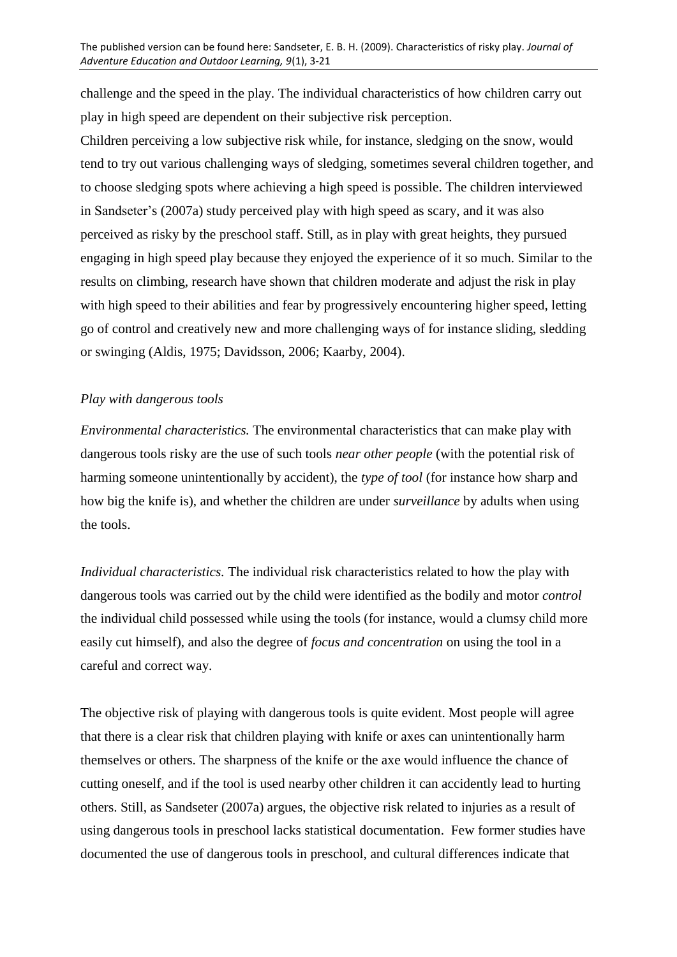challenge and the speed in the play. The individual characteristics of how children carry out play in high speed are dependent on their subjective risk perception.

Children perceiving a low subjective risk while, for instance, sledging on the snow, would tend to try out various challenging ways of sledging, sometimes several children together, and to choose sledging spots where achieving a high speed is possible. The children interviewed in Sandseter's (2007a) study perceived play with high speed as scary, and it was also perceived as risky by the preschool staff. Still, as in play with great heights, they pursued engaging in high speed play because they enjoyed the experience of it so much. Similar to the results on climbing, research have shown that children moderate and adjust the risk in play with high speed to their abilities and fear by progressively encountering higher speed, letting go of control and creatively new and more challenging ways of for instance sliding, sledding or swinging (Aldis, 1975; Davidsson, 2006; Kaarby, 2004).

## *Play with dangerous tools*

*Environmental characteristics.* The environmental characteristics that can make play with dangerous tools risky are the use of such tools *near other people* (with the potential risk of harming someone unintentionally by accident), the *type of tool* (for instance how sharp and how big the knife is), and whether the children are under *surveillance* by adults when using the tools.

*Individual characteristics.* The individual risk characteristics related to how the play with dangerous tools was carried out by the child were identified as the bodily and motor *control* the individual child possessed while using the tools (for instance, would a clumsy child more easily cut himself), and also the degree of *focus and concentration* on using the tool in a careful and correct way.

The objective risk of playing with dangerous tools is quite evident. Most people will agree that there is a clear risk that children playing with knife or axes can unintentionally harm themselves or others. The sharpness of the knife or the axe would influence the chance of cutting oneself, and if the tool is used nearby other children it can accidently lead to hurting others. Still, as Sandseter (2007a) argues, the objective risk related to injuries as a result of using dangerous tools in preschool lacks statistical documentation. Few former studies have documented the use of dangerous tools in preschool, and cultural differences indicate that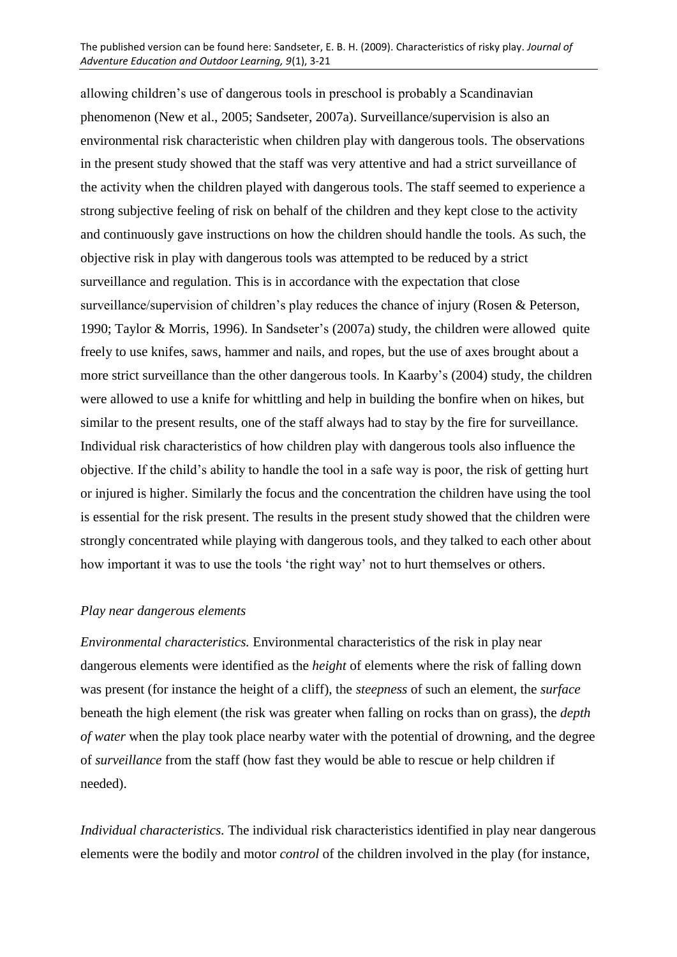allowing children's use of dangerous tools in preschool is probably a Scandinavian phenomenon (New et al., 2005; Sandseter, 2007a). Surveillance/supervision is also an environmental risk characteristic when children play with dangerous tools. The observations in the present study showed that the staff was very attentive and had a strict surveillance of the activity when the children played with dangerous tools. The staff seemed to experience a strong subjective feeling of risk on behalf of the children and they kept close to the activity and continuously gave instructions on how the children should handle the tools. As such, the objective risk in play with dangerous tools was attempted to be reduced by a strict surveillance and regulation. This is in accordance with the expectation that close surveillance/supervision of children's play reduces the chance of injury (Rosen & Peterson, 1990; Taylor & Morris, 1996). In Sandseter's (2007a) study, the children were allowed quite freely to use knifes, saws, hammer and nails, and ropes, but the use of axes brought about a more strict surveillance than the other dangerous tools. In Kaarby's (2004) study, the children were allowed to use a knife for whittling and help in building the bonfire when on hikes, but similar to the present results, one of the staff always had to stay by the fire for surveillance. Individual risk characteristics of how children play with dangerous tools also influence the objective. If the child's ability to handle the tool in a safe way is poor, the risk of getting hurt or injured is higher. Similarly the focus and the concentration the children have using the tool is essential for the risk present. The results in the present study showed that the children were strongly concentrated while playing with dangerous tools, and they talked to each other about how important it was to use the tools 'the right way' not to hurt themselves or others.

#### *Play near dangerous elements*

*Environmental characteristics.* Environmental characteristics of the risk in play near dangerous elements were identified as the *height* of elements where the risk of falling down was present (for instance the height of a cliff), the *steepness* of such an element, the *surface* beneath the high element (the risk was greater when falling on rocks than on grass), the *depth of water* when the play took place nearby water with the potential of drowning, and the degree of *surveillance* from the staff (how fast they would be able to rescue or help children if needed).

*Individual characteristics.* The individual risk characteristics identified in play near dangerous elements were the bodily and motor *control* of the children involved in the play (for instance,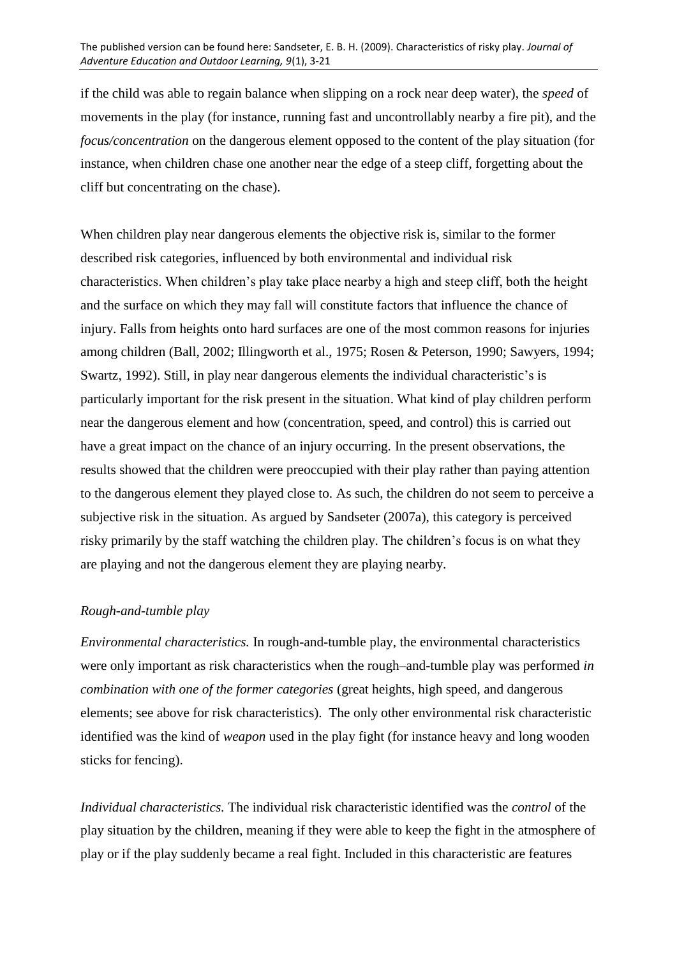if the child was able to regain balance when slipping on a rock near deep water), the *speed* of movements in the play (for instance, running fast and uncontrollably nearby a fire pit), and the *focus/concentration* on the dangerous element opposed to the content of the play situation (for instance, when children chase one another near the edge of a steep cliff, forgetting about the cliff but concentrating on the chase).

When children play near dangerous elements the objective risk is, similar to the former described risk categories, influenced by both environmental and individual risk characteristics. When children's play take place nearby a high and steep cliff, both the height and the surface on which they may fall will constitute factors that influence the chance of injury. Falls from heights onto hard surfaces are one of the most common reasons for injuries among children (Ball, 2002; Illingworth et al., 1975; Rosen & Peterson, 1990; Sawyers, 1994; Swartz, 1992). Still, in play near dangerous elements the individual characteristic's is particularly important for the risk present in the situation. What kind of play children perform near the dangerous element and how (concentration, speed, and control) this is carried out have a great impact on the chance of an injury occurring. In the present observations, the results showed that the children were preoccupied with their play rather than paying attention to the dangerous element they played close to. As such, the children do not seem to perceive a subjective risk in the situation. As argued by Sandseter (2007a), this category is perceived risky primarily by the staff watching the children play. The children's focus is on what they are playing and not the dangerous element they are playing nearby.

## *Rough-and-tumble play*

*Environmental characteristics.* In rough-and-tumble play, the environmental characteristics were only important as risk characteristics when the rough–and-tumble play was performed *in combination with one of the former categories* (great heights, high speed, and dangerous elements; see above for risk characteristics). The only other environmental risk characteristic identified was the kind of *weapon* used in the play fight (for instance heavy and long wooden sticks for fencing).

*Individual characteristics.* The individual risk characteristic identified was the *control* of the play situation by the children, meaning if they were able to keep the fight in the atmosphere of play or if the play suddenly became a real fight. Included in this characteristic are features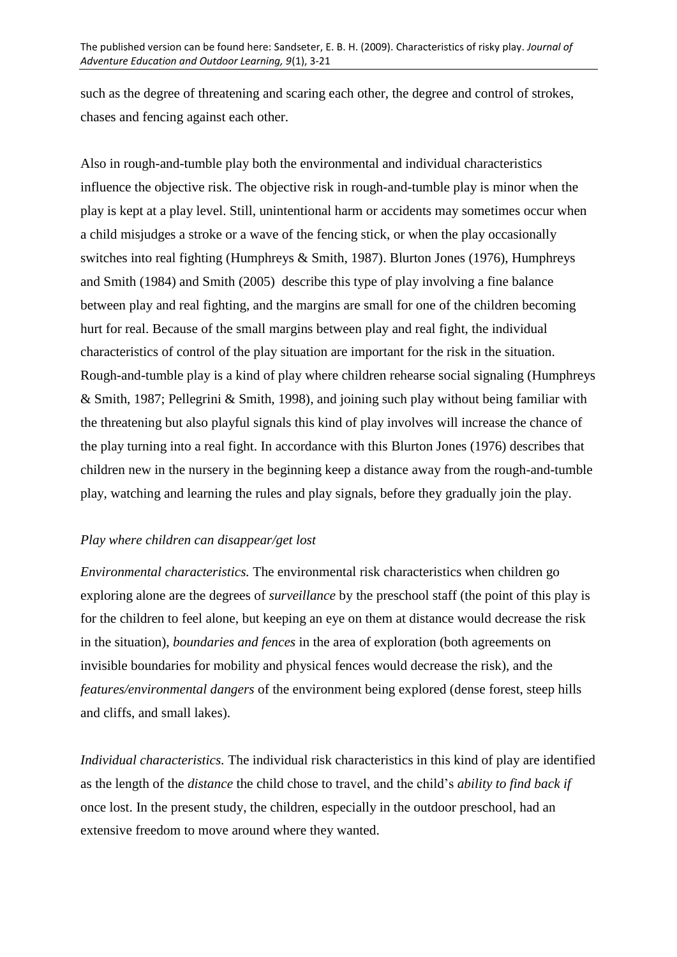such as the degree of threatening and scaring each other, the degree and control of strokes, chases and fencing against each other.

Also in rough-and-tumble play both the environmental and individual characteristics influence the objective risk. The objective risk in rough-and-tumble play is minor when the play is kept at a play level. Still, unintentional harm or accidents may sometimes occur when a child misjudges a stroke or a wave of the fencing stick, or when the play occasionally switches into real fighting (Humphreys & Smith, 1987). Blurton Jones (1976), Humphreys and Smith (1984) and Smith (2005) describe this type of play involving a fine balance between play and real fighting, and the margins are small for one of the children becoming hurt for real. Because of the small margins between play and real fight, the individual characteristics of control of the play situation are important for the risk in the situation. Rough-and-tumble play is a kind of play where children rehearse social signaling (Humphreys & Smith, 1987; Pellegrini & Smith, 1998), and joining such play without being familiar with the threatening but also playful signals this kind of play involves will increase the chance of the play turning into a real fight. In accordance with this Blurton Jones (1976) describes that children new in the nursery in the beginning keep a distance away from the rough-and-tumble play, watching and learning the rules and play signals, before they gradually join the play.

## *Play where children can disappear/get lost*

*Environmental characteristics.* The environmental risk characteristics when children go exploring alone are the degrees of *surveillance* by the preschool staff (the point of this play is for the children to feel alone, but keeping an eye on them at distance would decrease the risk in the situation), *boundaries and fences* in the area of exploration (both agreements on invisible boundaries for mobility and physical fences would decrease the risk), and the *features/environmental dangers* of the environment being explored (dense forest, steep hills and cliffs, and small lakes).

*Individual characteristics.* The individual risk characteristics in this kind of play are identified as the length of the *distance* the child chose to travel, and the child's *ability to find back if*  once lost. In the present study, the children, especially in the outdoor preschool, had an extensive freedom to move around where they wanted.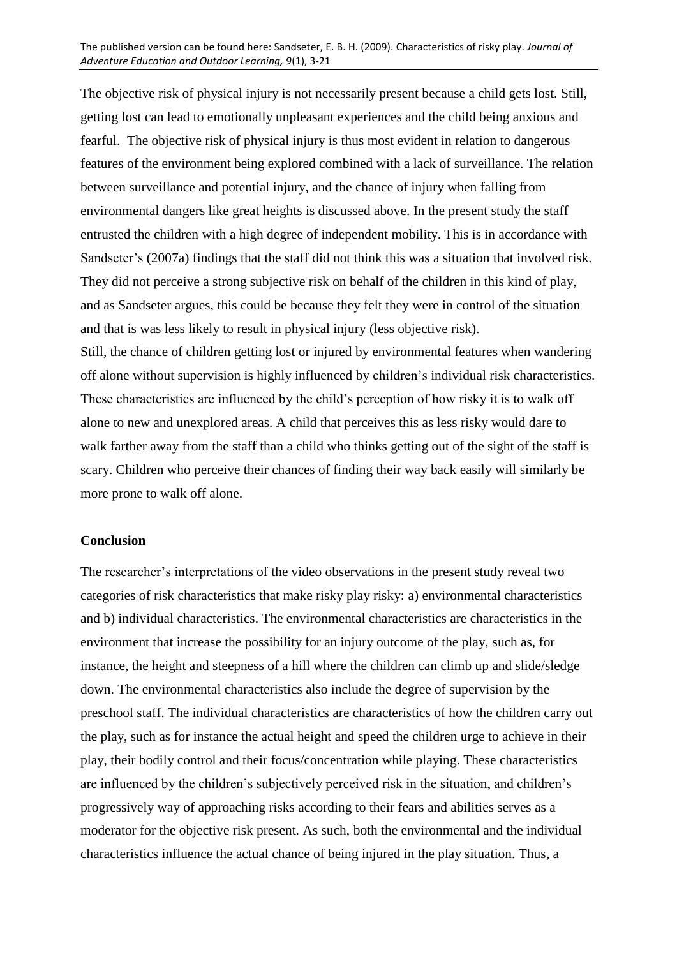The objective risk of physical injury is not necessarily present because a child gets lost. Still, getting lost can lead to emotionally unpleasant experiences and the child being anxious and fearful. The objective risk of physical injury is thus most evident in relation to dangerous features of the environment being explored combined with a lack of surveillance. The relation between surveillance and potential injury, and the chance of injury when falling from environmental dangers like great heights is discussed above. In the present study the staff entrusted the children with a high degree of independent mobility. This is in accordance with Sandseter's (2007a) findings that the staff did not think this was a situation that involved risk. They did not perceive a strong subjective risk on behalf of the children in this kind of play, and as Sandseter argues, this could be because they felt they were in control of the situation and that is was less likely to result in physical injury (less objective risk).

Still, the chance of children getting lost or injured by environmental features when wandering off alone without supervision is highly influenced by children's individual risk characteristics. These characteristics are influenced by the child's perception of how risky it is to walk off alone to new and unexplored areas. A child that perceives this as less risky would dare to walk farther away from the staff than a child who thinks getting out of the sight of the staff is scary. Children who perceive their chances of finding their way back easily will similarly be more prone to walk off alone.

#### **Conclusion**

The researcher's interpretations of the video observations in the present study reveal two categories of risk characteristics that make risky play risky: a) environmental characteristics and b) individual characteristics. The environmental characteristics are characteristics in the environment that increase the possibility for an injury outcome of the play, such as, for instance, the height and steepness of a hill where the children can climb up and slide/sledge down. The environmental characteristics also include the degree of supervision by the preschool staff. The individual characteristics are characteristics of how the children carry out the play, such as for instance the actual height and speed the children urge to achieve in their play, their bodily control and their focus/concentration while playing. These characteristics are influenced by the children's subjectively perceived risk in the situation, and children's progressively way of approaching risks according to their fears and abilities serves as a moderator for the objective risk present. As such, both the environmental and the individual characteristics influence the actual chance of being injured in the play situation. Thus, a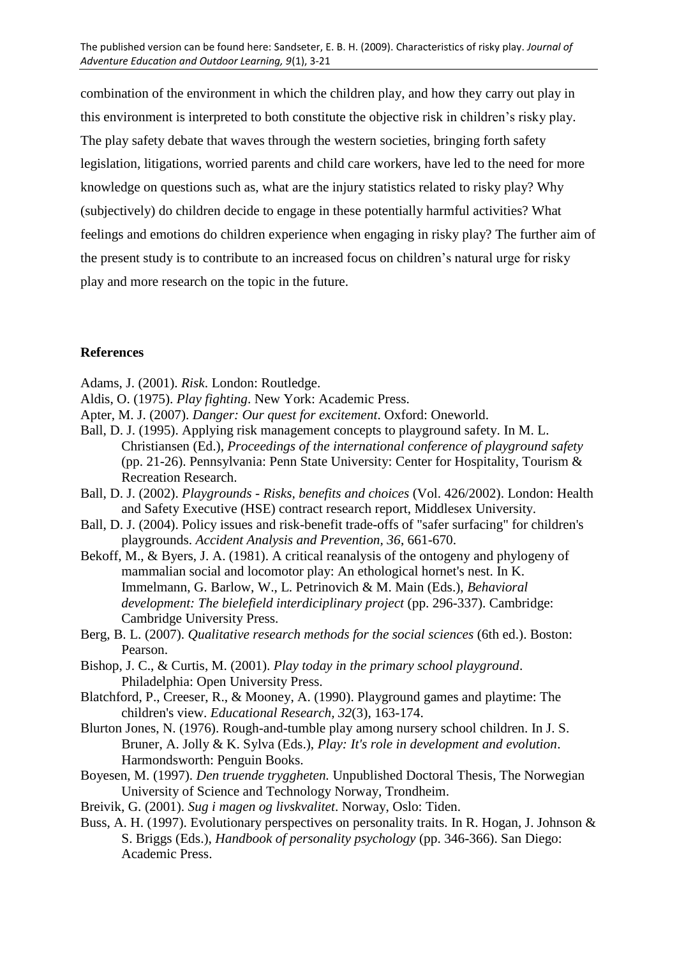combination of the environment in which the children play, and how they carry out play in this environment is interpreted to both constitute the objective risk in children's risky play. The play safety debate that waves through the western societies, bringing forth safety legislation, litigations, worried parents and child care workers, have led to the need for more knowledge on questions such as, what are the injury statistics related to risky play? Why (subjectively) do children decide to engage in these potentially harmful activities? What feelings and emotions do children experience when engaging in risky play? The further aim of the present study is to contribute to an increased focus on children's natural urge for risky play and more research on the topic in the future.

#### **References**

Adams, J. (2001). *Risk*. London: Routledge.

- Aldis, O. (1975). *Play fighting*. New York: Academic Press.
- Apter, M. J. (2007). *Danger: Our quest for excitement*. Oxford: Oneworld.
- Ball, D. J. (1995). Applying risk management concepts to playground safety. In M. L. Christiansen (Ed.), *Proceedings of the international conference of playground safety* (pp. 21-26). Pennsylvania: Penn State University: Center for Hospitality, Tourism & Recreation Research.
- Ball, D. J. (2002). *Playgrounds - Risks, benefits and choices* (Vol. 426/2002). London: Health and Safety Executive (HSE) contract research report, Middlesex University.
- Ball, D. J. (2004). Policy issues and risk-benefit trade-offs of "safer surfacing" for children's playgrounds. *Accident Analysis and Prevention, 36*, 661-670.
- Bekoff, M., & Byers, J. A. (1981). A critical reanalysis of the ontogeny and phylogeny of mammalian social and locomotor play: An ethological hornet's nest. In K. Immelmann, G. Barlow, W., L. Petrinovich & M. Main (Eds.), *Behavioral development: The bielefield interdiciplinary project* (pp. 296-337). Cambridge: Cambridge University Press.
- Berg, B. L. (2007). *Qualitative research methods for the social sciences* (6th ed.). Boston: Pearson.
- Bishop, J. C., & Curtis, M. (2001). *Play today in the primary school playground*. Philadelphia: Open University Press.
- Blatchford, P., Creeser, R., & Mooney, A. (1990). Playground games and playtime: The children's view. *Educational Research, 32*(3), 163-174.
- Blurton Jones, N. (1976). Rough-and-tumble play among nursery school children. In J. S. Bruner, A. Jolly & K. Sylva (Eds.), *Play: It's role in development and evolution*. Harmondsworth: Penguin Books.
- Boyesen, M. (1997). *Den truende tryggheten.* Unpublished Doctoral Thesis, The Norwegian University of Science and Technology Norway, Trondheim.
- Breivik, G. (2001). *Sug i magen og livskvalitet*. Norway, Oslo: Tiden.
- Buss, A. H. (1997). Evolutionary perspectives on personality traits. In R. Hogan, J. Johnson & S. Briggs (Eds.), *Handbook of personality psychology* (pp. 346-366). San Diego: Academic Press.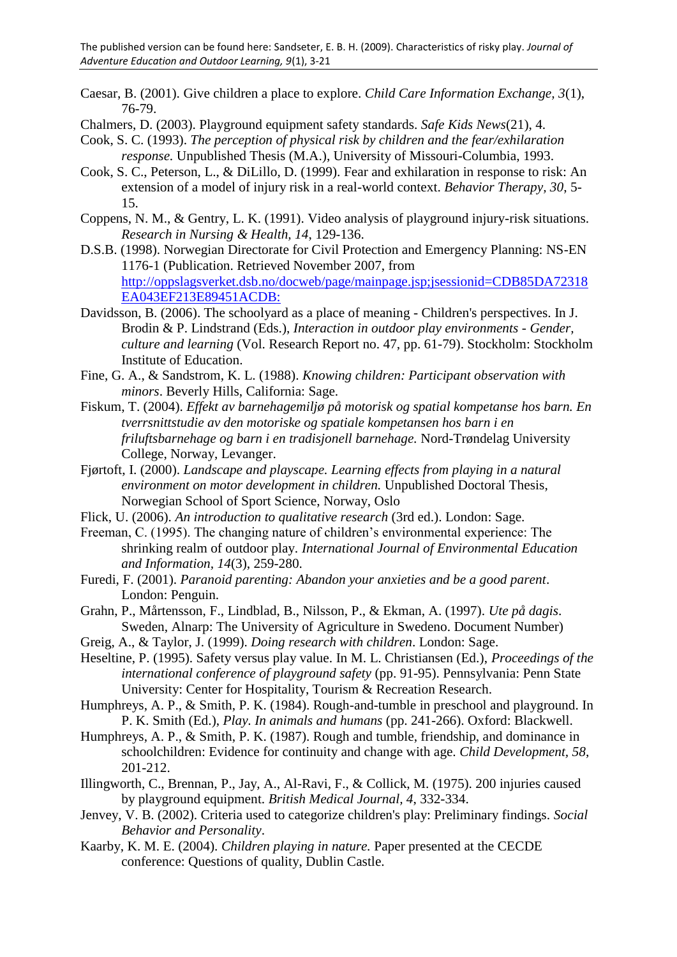- Caesar, B. (2001). Give children a place to explore. *Child Care Information Exchange, 3*(1), 76-79.
- Chalmers, D. (2003). Playground equipment safety standards. *Safe Kids News*(21), 4.
- Cook, S. C. (1993). *The perception of physical risk by children and the fear/exhilaration response.* Unpublished Thesis (M.A.), University of Missouri-Columbia, 1993.
- Cook, S. C., Peterson, L., & DiLillo, D. (1999). Fear and exhilaration in response to risk: An extension of a model of injury risk in a real-world context. *Behavior Therapy, 30*, 5- 15.
- Coppens, N. M., & Gentry, L. K. (1991). Video analysis of playground injury-risk situations. *Research in Nursing & Health, 14*, 129-136.
- D.S.B. (1998). Norwegian Directorate for Civil Protection and Emergency Planning: NS-EN 1176-1 (Publication. Retrieved November 2007, from [http://oppslagsverket.dsb.no/docweb/page/mainpage.jsp;jsessionid=CDB85DA72318](http://oppslagsverket.dsb.no/docweb/page/mainpage.jsp;jsessionid=CDB85DA72318EA043EF213E89451ACDB:) [EA043EF213E89451ACDB:](http://oppslagsverket.dsb.no/docweb/page/mainpage.jsp;jsessionid=CDB85DA72318EA043EF213E89451ACDB:)
- Davidsson, B. (2006). The schoolyard as a place of meaning Children's perspectives. In J. Brodin & P. Lindstrand (Eds.), *Interaction in outdoor play environments - Gender, culture and learning* (Vol. Research Report no. 47, pp. 61-79). Stockholm: Stockholm Institute of Education.
- Fine, G. A., & Sandstrom, K. L. (1988). *Knowing children: Participant observation with minors*. Beverly Hills, California: Sage.
- Fiskum, T. (2004). *Effekt av barnehagemiljø på motorisk og spatial kompetanse hos barn. En tverrsnittstudie av den motoriske og spatiale kompetansen hos barn i en friluftsbarnehage og barn i en tradisjonell barnehage.* Nord-Trøndelag University College, Norway, Levanger.
- Fjørtoft, I. (2000). *Landscape and playscape. Learning effects from playing in a natural environment on motor development in children.* Unpublished Doctoral Thesis, Norwegian School of Sport Science, Norway, Oslo
- Flick, U. (2006). *An introduction to qualitative research* (3rd ed.). London: Sage.
- Freeman, C. (1995). The changing nature of children's environmental experience: The shrinking realm of outdoor play. *International Journal of Environmental Education and Information, 14*(3), 259-280.
- Furedi, F. (2001). *Paranoid parenting: Abandon your anxieties and be a good parent*. London: Penguin.
- Grahn, P., Mårtensson, F., Lindblad, B., Nilsson, P., & Ekman, A. (1997). *Ute på dagis*. Sweden, Alnarp: The University of Agriculture in Swedeno. Document Number)
- Greig, A., & Taylor, J. (1999). *Doing research with children*. London: Sage.
- Heseltine, P. (1995). Safety versus play value. In M. L. Christiansen (Ed.), *Proceedings of the international conference of playground safety* (pp. 91-95). Pennsylvania: Penn State University: Center for Hospitality, Tourism & Recreation Research.
- Humphreys, A. P., & Smith, P. K. (1984). Rough-and-tumble in preschool and playground. In P. K. Smith (Ed.), *Play. In animals and humans* (pp. 241-266). Oxford: Blackwell.
- Humphreys, A. P., & Smith, P. K. (1987). Rough and tumble, friendship, and dominance in schoolchildren: Evidence for continuity and change with age. *Child Development, 58*, 201-212.
- Illingworth, C., Brennan, P., Jay, A., Al-Ravi, F., & Collick, M. (1975). 200 injuries caused by playground equipment. *British Medical Journal, 4*, 332-334.
- Jenvey, V. B. (2002). Criteria used to categorize children's play: Preliminary findings. *Social Behavior and Personality*.
- Kaarby, K. M. E. (2004). *Children playing in nature.* Paper presented at the CECDE conference: Questions of quality, Dublin Castle.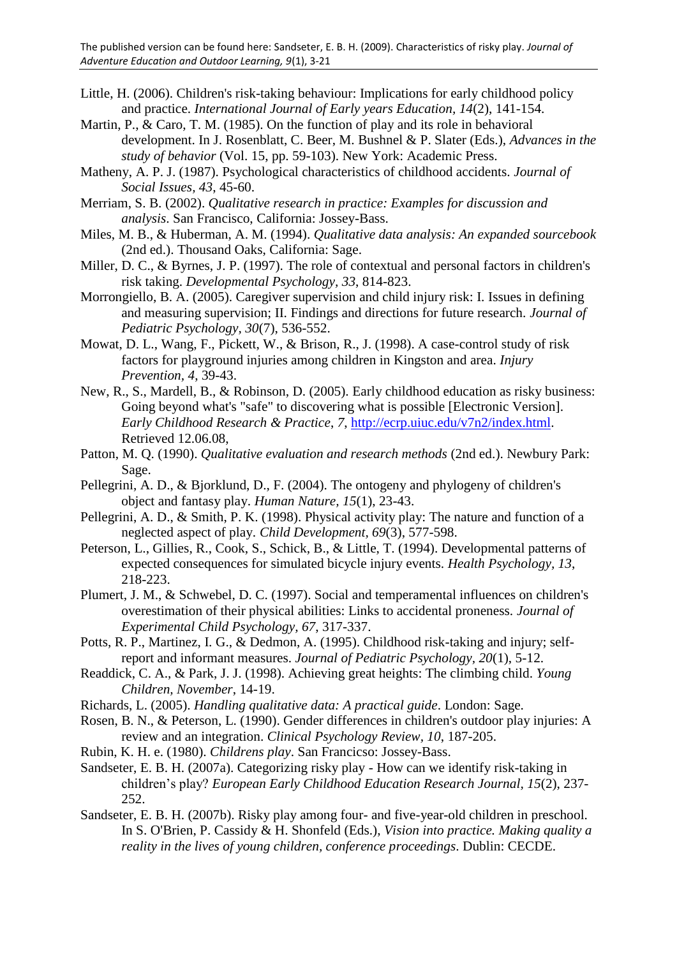- Little, H. (2006). Children's risk-taking behaviour: Implications for early childhood policy and practice. *International Journal of Early years Education, 14*(2), 141-154.
- Martin, P., & Caro, T. M. (1985). On the function of play and its role in behavioral development. In J. Rosenblatt, C. Beer, M. Bushnel & P. Slater (Eds.), *Advances in the study of behavior* (Vol. 15, pp. 59-103). New York: Academic Press.
- Matheny, A. P. J. (1987). Psychological characteristics of childhood accidents. *Journal of Social Issues, 43*, 45-60.

Merriam, S. B. (2002). *Qualitative research in practice: Examples for discussion and analysis*. San Francisco, California: Jossey-Bass.

- Miles, M. B., & Huberman, A. M. (1994). *Qualitative data analysis: An expanded sourcebook* (2nd ed.). Thousand Oaks, California: Sage.
- Miller, D. C., & Byrnes, J. P. (1997). The role of contextual and personal factors in children's risk taking. *Developmental Psychology, 33*, 814-823.
- Morrongiello, B. A. (2005). Caregiver supervision and child injury risk: I. Issues in defining and measuring supervision; II. Findings and directions for future research. *Journal of Pediatric Psychology, 30*(7), 536-552.
- Mowat, D. L., Wang, F., Pickett, W., & Brison, R., J. (1998). A case-control study of risk factors for playground injuries among children in Kingston and area. *Injury Prevention, 4*, 39-43.
- New, R., S., Mardell, B., & Robinson, D. (2005). Early childhood education as risky business: Going beyond what's "safe" to discovering what is possible [Electronic Version]. *Early Childhood Research & Practice*, *7*, [http://ecrp.uiuc.edu/v7n2/index.html.](http://ecrp.uiuc.edu/v7n2/index.html) Retrieved 12.06.08,
- Patton, M. Q. (1990). *Qualitative evaluation and research methods* (2nd ed.). Newbury Park: Sage.
- Pellegrini, A. D., & Bjorklund, D., F. (2004). The ontogeny and phylogeny of children's object and fantasy play. *Human Nature, 15*(1), 23-43.
- Pellegrini, A. D., & Smith, P. K. (1998). Physical activity play: The nature and function of a neglected aspect of play. *Child Development, 69*(3), 577-598.
- Peterson, L., Gillies, R., Cook, S., Schick, B., & Little, T. (1994). Developmental patterns of expected consequences for simulated bicycle injury events. *Health Psychology, 13*, 218-223.
- Plumert, J. M., & Schwebel, D. C. (1997). Social and temperamental influences on children's overestimation of their physical abilities: Links to accidental proneness. *Journal of Experimental Child Psychology, 67*, 317-337.
- Potts, R. P., Martinez, I. G., & Dedmon, A. (1995). Childhood risk-taking and injury; selfreport and informant measures. *Journal of Pediatric Psychology, 20*(1), 5-12.
- Readdick, C. A., & Park, J. J. (1998). Achieving great heights: The climbing child. *Young Children, November*, 14-19.
- Richards, L. (2005). *Handling qualitative data: A practical guide*. London: Sage.
- Rosen, B. N., & Peterson, L. (1990). Gender differences in children's outdoor play injuries: A review and an integration. *Clinical Psychology Review, 10*, 187-205.
- Rubin, K. H. e. (1980). *Childrens play*. San Francicso: Jossey-Bass.
- Sandseter, E. B. H. (2007a). Categorizing risky play How can we identify risk-taking in children's play? *European Early Childhood Education Research Journal, 15*(2), 237- 252.
- Sandseter, E. B. H. (2007b). Risky play among four- and five-year-old children in preschool. In S. O'Brien, P. Cassidy & H. Shonfeld (Eds.), *Vision into practice. Making quality a reality in the lives of young children, conference proceedings*. Dublin: CECDE.